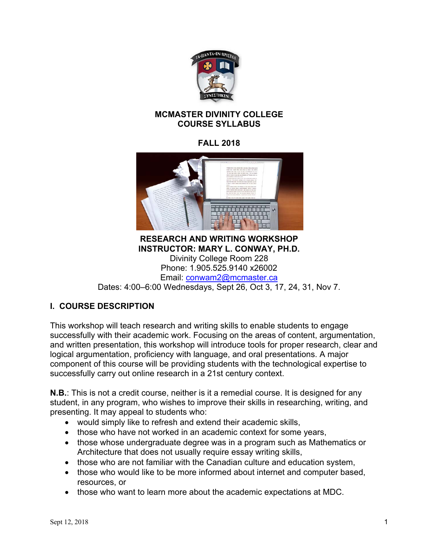

#### **MCMASTER DIVINITY COLLEGE COURSE SYLLABUS**

## **FALL 2018**



**RESEARCH AND WRITING WORKSHOP INSTRUCTOR: MARY L. CONWAY, PH.D.**  Divinity College Room 228 Phone: 1.905.525.9140 x26002 Email: conwam2@mcmaster.ca Dates: 4:00–6:00 Wednesdays, Sept 26, Oct 3, 17, 24, 31, Nov 7.

## **I. COURSE DESCRIPTION**

This workshop will teach research and writing skills to enable students to engage successfully with their academic work. Focusing on the areas of content, argumentation, and written presentation, this workshop will introduce tools for proper research, clear and logical argumentation, proficiency with language, and oral presentations. A major component of this course will be providing students with the technological expertise to successfully carry out online research in a 21st century context.

**N.B.**: This is not a credit course, neither is it a remedial course. It is designed for any student, in any program, who wishes to improve their skills in researching, writing, and presenting. It may appeal to students who:

- would simply like to refresh and extend their academic skills,
- those who have not worked in an academic context for some years,
- those whose undergraduate degree was in a program such as Mathematics or Architecture that does not usually require essay writing skills,
- those who are not familiar with the Canadian culture and education system,
- those who would like to be more informed about internet and computer based, resources, or
- those who want to learn more about the academic expectations at MDC.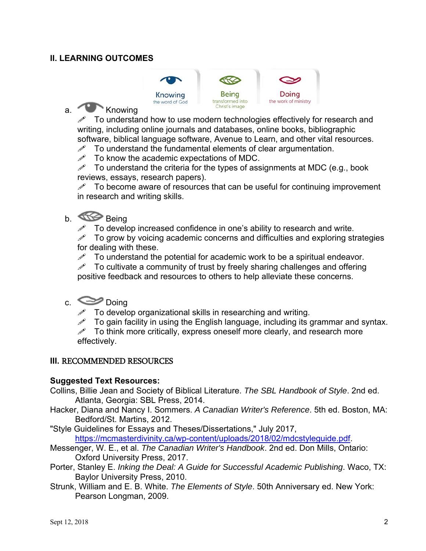#### **II. LEARNING OUTCOMES**



## a. Knowing

 $\mathscr N$  To understand how to use modern technologies effectively for research and writing, including online journals and databases, online books, bibliographic software, biblical language software, Avenue to Learn, and other vital resources.

 $\mathscr{P}$  To understand the fundamental elements of clear argumentation.<br> $\mathscr{P}$  To know the academic expectations of MDC

To know the academic expectations of MDC.

 $\mathscr N$  To understand the criteria for the types of assignments at MDC (e.g., book reviews, essays, research papers).

 $\mathscr{P}$  To become aware of resources that can be useful for continuing improvement in research and writing skills.

# b. Comp Being

To develop increased confidence in one's ability to research and write.

 $\mathscr{P}$  To grow by voicing academic concerns and difficulties and exploring strategies for dealing with these.

 $\mathscr{P}$  To understand the potential for academic work to be a spiritual endeavor.

To cultivate a community of trust by freely sharing challenges and offering positive feedback and resources to others to help alleviate these concerns.

## c. Doing

 $\mathscr N$  To develop organizational skills in researching and writing.

 $\mathscr S$  To gain facility in using the English language, including its grammar and syntax.

 $\mathscr N$  To think more critically, express oneself more clearly, and research more effectively.

#### **III.** RECOMMENDED RESOURCES

#### **Suggested Text Resources:**

- Collins, Billie Jean and Society of Biblical Literature. *The SBL Handbook of Style*. 2nd ed. Atlanta, Georgia: SBL Press, 2014.
- Hacker, Diana and Nancy I. Sommers. *A Canadian Writer's Reference*. 5th ed. Boston, MA: Bedford/St. Martins, 2012.
- "Style Guidelines for Essays and Theses/Dissertations," July 2017, https://mcmasterdivinity.ca/wp-content/uploads/2018/02/mdcstyleguide.pdf.
- Messenger, W. E., et al. *The Canadian Writer's Handbook*. 2nd ed. Don Mills, Ontario: Oxford University Press, 2017.
- Porter, Stanley E. *Inking the Deal: A Guide for Successful Academic Publishing*. Waco, TX: Baylor University Press, 2010.
- Strunk, William and E. B. White. *The Elements of Style*. 50th Anniversary ed. New York: Pearson Longman, 2009.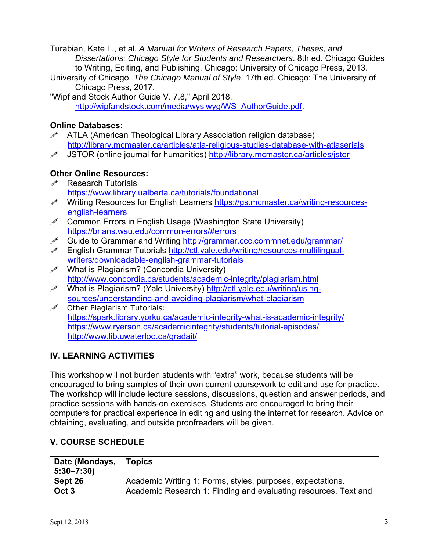Turabian, Kate L., et al. *A Manual for Writers of Research Papers, Theses, and Dissertations: Chicago Style for Students and Researchers*. 8th ed. Chicago Guides to Writing, Editing, and Publishing. Chicago: University of Chicago Press, 2013.

- University of Chicago. *The Chicago Manual of Style*. 17th ed. Chicago: The University of Chicago Press, 2017.
- "Wipf and Stock Author Guide V. 7.8," April 2018, http://wipfandstock.com/media/wysiwyg/WS\_AuthorGuide.pdf.

## **Online Databases:**

- ATLA (American Theological Library Association religion database) http://library.mcmaster.ca/articles/atla-religious-studies-database-with-atlaserials
- JSTOR (online journal for humanities) http://library.mcmaster.ca/articles/jstor

#### **Other Online Resources:**

- $\mathscr{P}$  Research Tutorials https://www.library.ualberta.ca/tutorials/foundational
- Writing Resources for English Learners https://gs.mcmaster.ca/writing-resourcesenglish-learners
- $\mathscr{P}$  Common Errors in English Usage (Washington State University) https://brians.wsu.edu/common-errors/#errors
- Guide to Grammar and Writing http://grammar.ccc.commnet.edu/grammar/
- English Grammar Tutorials http://ctl.yale.edu/writing/resources-multilingualwriters/downloadable-english-grammar-tutorials
- What is Plagiarism? (Concordia University) http://www.concordia.ca/students/academic-integrity/plagiarism.html
- What is Plagiarism? (Yale University) http://ctl.yale.edu/writing/usingsources/understanding-and-avoiding-plagiarism/what-plagiarism
- $\mathscr{P}$  Other Plagiarism Tutorials: https://spark.library.yorku.ca/academic-integrity-what-is-academic-integrity/ https://www.ryerson.ca/academicintegrity/students/tutorial-episodes/ http://www.lib.uwaterloo.ca/gradait/

## **IV. LEARNING ACTIVITIES**

This workshop will not burden students with "extra" work, because students will be encouraged to bring samples of their own current coursework to edit and use for practice. The workshop will include lecture sessions, discussions, question and answer periods, and practice sessions with hands-on exercises. Students are encouraged to bring their computers for practical experience in editing and using the internet for research. Advice on obtaining, evaluating, and outside proofreaders will be given.

## **V. COURSE SCHEDULE**

| Date (Mondays,<br>$5:30 - 7:30$ | <b>Topics</b>                                                   |
|---------------------------------|-----------------------------------------------------------------|
| Sept 26                         | Academic Writing 1: Forms, styles, purposes, expectations.      |
| Oct <sub>3</sub>                | Academic Research 1: Finding and evaluating resources. Text and |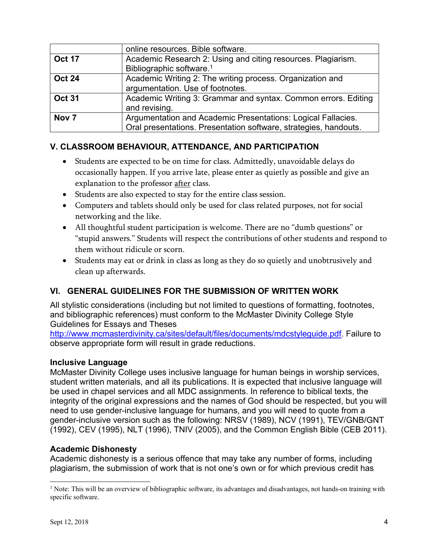|                  | online resources. Bible software.                                                                                                |
|------------------|----------------------------------------------------------------------------------------------------------------------------------|
| <b>Oct 17</b>    | Academic Research 2: Using and citing resources. Plagiarism.<br>Bibliographic software. <sup>1</sup>                             |
| <b>Oct 24</b>    | Academic Writing 2: The writing process. Organization and<br>argumentation. Use of footnotes.                                    |
| <b>Oct 31</b>    | Academic Writing 3: Grammar and syntax. Common errors. Editing<br>and revising.                                                  |
| Nov <sub>7</sub> | Argumentation and Academic Presentations: Logical Fallacies.<br>Oral presentations. Presentation software, strategies, handouts. |

## **V. CLASSROOM BEHAVIOUR, ATTENDANCE, AND PARTICIPATION**

- Students are expected to be on time for class. Admittedly, unavoidable delays do occasionally happen. If you arrive late, please enter as quietly as possible and give an explanation to the professor after class.
- Students are also expected to stay for the entire class session.
- Computers and tablets should only be used for class related purposes, not for social networking and the like.
- All thoughtful student participation is welcome. There are no "dumb questions" or "stupid answers." Students will respect the contributions of other students and respond to them without ridicule or scorn.
- Students may eat or drink in class as long as they do so quietly and unobtrusively and clean up afterwards.

## **VI. GENERAL GUIDELINES FOR THE SUBMISSION OF WRITTEN WORK**

All stylistic considerations (including but not limited to questions of formatting, footnotes, and bibliographic references) must conform to the McMaster Divinity College Style Guidelines for Essays and Theses

http://www.mcmasterdivinity.ca/sites/default/files/documents/mdcstyleguide.pdf. Failure to observe appropriate form will result in grade reductions.

#### **Inclusive Language**

McMaster Divinity College uses inclusive language for human beings in worship services, student written materials, and all its publications. It is expected that inclusive language will be used in chapel services and all MDC assignments. In reference to biblical texts, the integrity of the original expressions and the names of God should be respected, but you will need to use gender-inclusive language for humans, and you will need to quote from a gender-inclusive version such as the following: NRSV (1989), NCV (1991), TEV/GNB/GNT (1992), CEV (1995), NLT (1996), TNIV (2005), and the Common English Bible (CEB 2011).

#### **Academic Dishonesty**

Academic dishonesty is a serious offence that may take any number of forms, including plagiarism, the submission of work that is not one's own or for which previous credit has

 $\overline{a}$ 

<sup>&</sup>lt;sup>1</sup> Note: This will be an overview of bibliographic software, its advantages and disadvantages, not hands-on training with specific software.